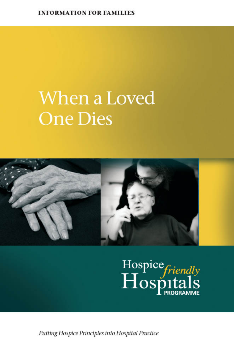#### **INFORMATION FOR FAMILIES**

## When a Loved **One Dies**



# Hospice friendly

Putting Hospice Principles into Hospital Practice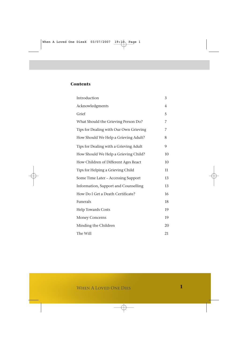#### **Contents**

| Introduction                           | 3              |
|----------------------------------------|----------------|
| Acknowledgments                        | $\overline{4}$ |
| Grief                                  | 5              |
| What Should the Grieving Person Do?    | 7              |
| Tips for Dealing with Our Own Grieving | 7              |
| How Should We Help a Grieving Adult?   | 8              |
| Tips for Dealing with a Grieving Adult | 9              |
| How Should We Help a Grieving Child?   | 10             |
| How Children of Different Ages React   | 10             |
| Tips for Helping a Grieving Child      | 11             |
| Some Time Later - Accessing Support    | 13             |
| Information, Support and Counselling   | 13             |
| How Do I Get a Death Certificate?      | 16             |
| Funerals                               | 18             |
| <b>Help Towards Costs</b>              | 19             |
| <b>Money Concerns</b>                  | 19             |
| Minding the Children                   | 20             |
| The Will                               | 21             |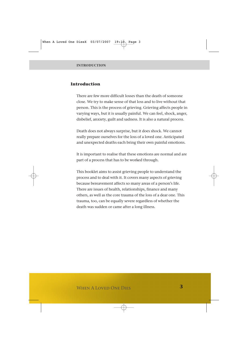#### **Introduction**

There are few more difficult losses than the death of someone close. We try to make sense of that loss and to live without that person. This is the process of grieving. Grieving affects people in varying ways, but it is usually painful. We can feel, shock, anger, disbelief, anxiety, guilt and sadness. It is also a natural process.

Death does not always surprise, but it does shock. We cannot really prepare ourselves for the loss of a loved one. Anticipated and unexpected deaths each bring their own painful emotions.

It is important to realise that these emotions are normal and are part of a process that has to be worked through.

This booklet aims to assist grieving people to understand the process and to deal with it. It covers many aspects of grieving because bereavement affects so many areas of a person's life. There are issues of health, relationships, finance and many others, as well as the core trauma of the loss of a dear one. This trauma, too, can be equally severe regardless of whether the death was sudden or came after a long illness.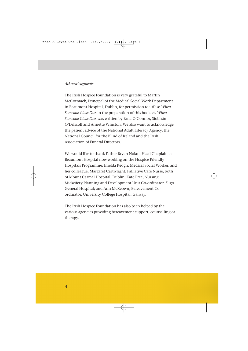#### *Acknowledgments*

The Irish Hospice Foundation is very grateful to Martin McCormack, Principal of the Medical Social Work Department in Beaumont Hospital, Dublin, for permission to utilise *When Someone Close Dies* in the preparation of this booklet. *When Someone Close Dies* was written by Erna O'Connor, Siobhán O'Driscoll and Annette Winston. We also want to acknowledge the patient advice of the National Adult Literacy Agency, the National Council for the Blind of Ireland and the Irish Association of Funeral Directors.

We would like to thank Father Bryan Nolan, Head Chaplain at Beaumont Hospital now working on the Hospice Friendly Hospitals Programme; Imelda Keogh, Medical Social Worker, and her colleague, Margaret Cartwright, Palliative Care Nurse, both of Mount Carmel Hospital, Dublin; Kate Bree, Nursing Midwifery Planning and Development Unit Co-ordinator, Sligo General Hospital; and Ann McKeown, Bereavement Coordinator, University College Hospital, Galway.

The Irish Hospice Foundation has also been helped by the various agencies providing bereavement support, counselling or therapy.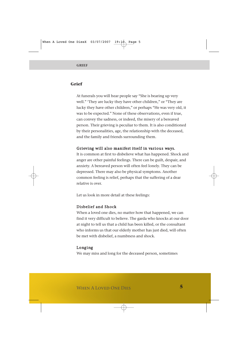#### **Grief**

At funerals you will hear people say "She is bearing up very well." 'They are lucky they have other children," or "They are lucky they have other children," or perhaps "He was very old, it was to be expected." None of these observations, even if true, can convey the sadness, or indeed, the misery of a bereaved person. Their grieving is peculiar to them. It is also conditioned by their personalities, age, the relationship with the deceased, and the family and friends surrounding them.

#### Grieving will also manifest itself in various ways.

It is common at first to disbelieve what has happened. Shock and anger are other painful feelings. There can be guilt, despair, and anxiety. A bereaved person will often feel lonely. They can be depressed. There may also be physical symptoms. Another common feeling is relief, perhaps that the suffering of a dear relative is over.

Let us look in more detail at these feelings:

#### Disbelief and Shock

When a loved one dies, no matter how that happened, we can find it very difficult to believe. The garda who knocks at our door at night to tell us that a child has been killed, or the consultant who informs us that our elderly mother has just died, will often be met with disbelief, a numbness and shock.

#### Longing

We may miss and long for the deceased person, sometimes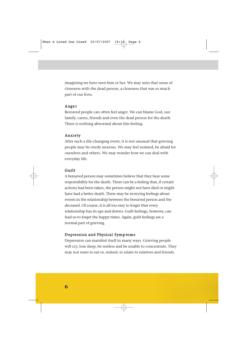imagining we have seen him or her. We may miss that sense of closeness with the dead person, a closeness that was so much part of our lives.

#### Anger

Bereaved people can often feel anger. We can blame God, our family, carers, friends and even the dead person for the death. There is nothing abnormal about this feeling.

#### Anxiety

After such a life-changing event, it is not unusual that grieving people may be overly anxious. We may feel isolated, be afraid for ourselves and others. We may wonder how we can deal with everyday life.

#### Guilt

A bereaved person may sometimes believe that they bear some responsibility for the death. There can be a feeling that, if certain actions had been taken, the person might not have died or might have had a better death. There may be worrying feelings about events in the relationship between the bereaved person and the deceased. Of course, it is all too easy to forget that every relationship has its ups and downs. Guilt feelings, however, can lead us to forget the happy times. Again, guilt feelings are a normal part of grieving.

#### Depression and Physical Symp toms

Depression can manifest itself in many ways. Grieving people will cry, lose sleep, be restless and be unable to concentrate. They may not want to eat or, indeed, to relate to relatives and friends.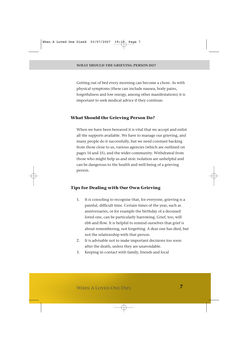Getting out of bed every morning can become a chore. As with physical symptoms (these can include nausea, body pains, forgetfulness and low energy, among other manifestations) it is important to seek medical advice if they continue.

#### **What Should the Grieving Person Do?**

When we have been bereaved it is vital that we accept and enlist all the supports available. We have to manage our grieving, and many people do it successfully, but we need constant backing from those close to us, various agencies (which are outlined on pages 14 and 15), and the wider community. Withdrawal from those who might help us and stoic isolation are unhelpful and can be dangerous to the health and well-being of a grieving person.

#### **Tips for Dealing with Our Own Grieving**

- 1. It is consoling to recognise that, for everyone, grieving is a painful, difficult time. Certain times of the year, such as anniversaries, or for example the birthday of a deceased loved one, can be particularly harrowing. Grief, too, will ebb and flow. It is helpful to remind ourselves that grief is about remembering, not forgetting. A dear one has died, but not the relationship with that person.
- 2. It is advisable not to make important decisions too soon after the death, unless they are unavoidable.
- 3. Keeping in contact with family, friends and local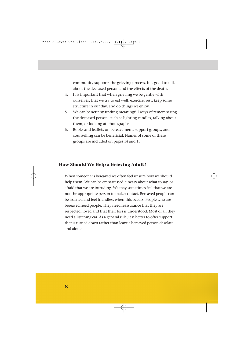community supports the grieving process. It is good to talk about the deceased person and the effects of the death.

- 4. It is important that when grieving we be gentle with ourselves, that we try to eat well, exercise, rest, keep some structure in our day, and do things we enjoy.
- 5. We can benefit by finding meaningful ways of remembering the deceased person, such as lighting candles, talking about them, or looking at photographs.
- 6. Books and leaflets on bereavement, support groups, and counselling can be beneficial. Names of some of these groups are included on pages 14 and 15.

#### **How Should We Help a Grieving Adult?**

When someone is bereaved we often feel unsure how we should help them. We can be embarrassed, uneasy about what to say, or afraid that we are intruding. We may sometimes feel that we are not the appropriate person to make contact. Bereaved people can be isolated and feel friendless when this occurs. People who are bereaved need people. They need reassurance that they are respected, loved and that their loss is understood. Most of all they need a listening ear. As a general rule, it is better to offer support that is turned down rather than leave a bereaved person desolate and alone.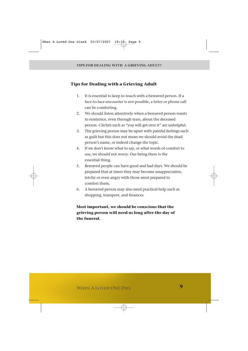#### **Tips for Dealing with a Grieving Adult**

- 1. It is essential to keep in touch with a bereaved person. If a face-to-face encounter is not possible, a letter or phone call can be comforting.
- 2. We should listen attentively when a bereaved person wants to reminisce, even through tears, about the deceased person. Clichés such as "you will get over it" are unhelpful.
- 3. The grieving person may be upset with painful feelings such as guilt but this does not mean we should avoid the dead person's name, or indeed change the topic.
- 4. If we don't know what to say, or what words of comfort to use, we should not worry. Our being there is the essential thing.
- 5. Bereaved people can have good and bad days. We should be prepared that at times they may become unappreciative, tetchy or even angry with those most prepared to comfort them.
- 6. A bereaved person may also need practical help such as shopping, transport, and finances.

#### **Most important, we should be conscious that the grieving person will need us long after the day of the funeral.**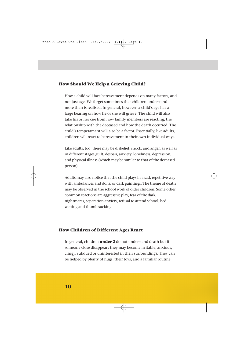#### **How Should We Help a Grieving Child?**

How a child will face bereavement depends on many factors, and not just age. We forget sometimes that children understand more than is realised. In general, however, a child's age has a large bearing on how he or she will grieve. The child will also take his or her cue from how family members are reacting, the relationship with the deceased and how the death occurred. The child's temperament will also be a factor. Essentially, like adults, children will react to bereavement in their own individual ways.

Like adults, too, there may be disbelief, shock, and anger, as well as in different stages guilt, despair, anxiety, loneliness, depression, and physical illness (which may be similar to that of the deceased person).

Adults may also notice that the child plays in a sad, repetitive way with ambulances and dolls, or dark paintings. The theme of death may be observed in the school work of older children. Some other common reactions are aggressive play, fear of the dark, nightmares, separation anxiety, refusal to attend school, bed wetting and thumb sucking.

#### **How Children of Different Ages React**

In general, children **under 2** do not understand death but if someone close disappears they may become irritable, anxious, clingy, subdued or uninterested in their surroundings. They can be helped by plenty of hugs, their toys, and a familiar routine.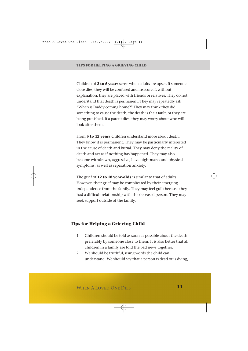Children of **2 to 5 years** sense when adults are upset. If someone close dies, they will be confused and insecure if, without explanation, they are placed with friends or relatives. They do not understand that death is permanent. They may repeatedly ask "When is Daddy coming home?" They may think they did something to cause the death, the death is their fault, or they are being punished. If a parent dies, they may worry about who will look after them.

From **5 to 12 year**s children understand more about death. They know it is permanent. They may be particularly interested in the cause of death and burial. They may deny the reality of death and act as if nothing has happened. They may also become withdrawn, aggressive, have nightmares and physical symptoms, as well as separation anxiety.

The grief of **12 to 18 year-olds** is similar to that of adults. However, their grief may be complicated by their emerging independence from the family. They may feel guilt because they had a difficult relationship with the deceased person. They may seek support outside of the family.

#### **Tips for Helping a Grieving Child**

- 1. Children should be told as soon as possible about the death, preferably by someone close to them. It is also better that all children in a family are told the bad news together.
- 2. We should be truthful, using words the child can understand. We should say that a person is dead or is dying,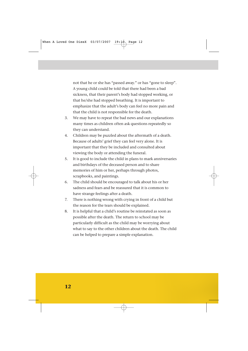not that he or she has "passed away." or has "gone to sleep". A young child could be told that there had been a bad sickness, that their parent's body had stopped working, or that he/she had stopped breathing. It is important to emphasize that the adult's body can feel no more pain and that the child is not responsible for the death.

- 3. We may have to repeat the bad news and our explanations many times as children often ask questions repeatedly so they can understand.
- 4. Children may be puzzled about the aftermath of a death. Because of adults' grief they can feel very alone. It is important that they be included and consulted about viewing the body or attending the funeral.
- 5. It is good to include the child in plans to mark anniversaries and birthdays of the deceased person and to share memories of him or her, perhaps through photos, scrapbooks, and paintings.
- 6. The child should be encouraged to talk about his or her sadness and fears and be reassured that it is common to have strange feelings after a death.
- 7. There is nothing wrong with crying in front of a child but the reason for the tears should be explained.
- 8. It is helpful that a child's routine be reinstated as soon as possible after the death. The return to school may be particularly difficult as the child may be worrying about what to say to the other children about the death. The child can be helped to prepare a simple explanation.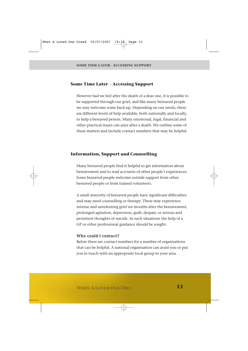#### **Some Time Later - Accessing Support**

However bad we feel after the death of a dear one, it is possible to be supported through our grief, and like many bereaved people we may welcome some back-up. Depending on our needs, there are different levels of help available, both nationally and locally, to help a bereaved person. Many emotional, legal, financial and other practical issues can arise after a death. We outline some of these matters and include contact numbers that may be helpful.

#### **Information, Support and Counselling**

Many bereaved people find it helpful to get information about bereavement and to read accounts of other people's experiences. Some bereaved people welcome outside support from other bereaved people or from trained volunteers.

A small minority of bereaved people have significant difficulties and may need counselling or therapy. These may experience intense and unrelenting grief six months after the bereavement, prolonged agitation, depression, guilt, despair, or serious and persistent thoughts of suicide. In such situations the help of a GP or other professional guidance should be sought.

#### Who could I contact?

Below there are contact numbers for a number of organisations that can be helpful. A national organisation can assist you or put you in touch with an appropriate local group in your area.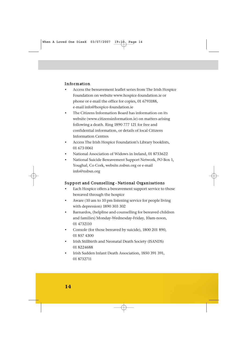#### Information

- Access the bereavement leaflet series from The Irish Hospice Foundation on website www.hospice-foundation.ie or phone or e-mail the office for copies, 01 6793188, e-mail info@hospice-foundation.ie
- The Citizens Information Board has information on its website (www.citizensinformation.ie) on matters arising following a death. Ring 1890 777 121 for free and confidential information, or details of local Citizens Information Centres
- Access The Irish Hospice Foundation's Library booklists, 01 673 0061
- National Association of Widows in Ireland, 01 8733622
- National Suicide Bereavement Support Network, PO Box 1, Youghal, Co Cork, website.nsbsn.org or e-mail info@nsbsn.org

#### Support and Counselling - National Organisations

- Each Hospice offers a bereavement support service to those bereaved through the hospice
- Aware (10 am to 10 pm listening service for people living with depression) 1890 303 302
- Barnardos, (helpline and counselling for bereaved children and families) Monday-Wednesday-Friday, 10am-noon, 01 4732110
- Console (for those bereaved by suicide), 1800 201 890, 01 857 4300
- Irish Stillbirth and Neonatal Death Society (ISANDS) 01 8224688
- Irish Sudden Infant Death Association, 1850 391 391, 01 8732711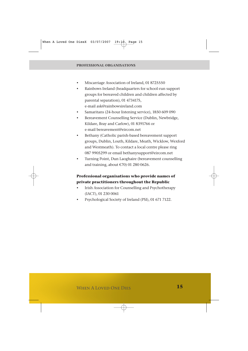- Miscarriage Association of Ireland, 01 8725550
- Rainbows Ireland (headquarters for school-run support groups for bereaved children and children affected by parental separation), 01 4734175, e-mail ask@rainbowsireland.com
- Samaritans (24-hour listening service), 1850 609 090
- Bereavement Counselling Service (Dublin, Newbridge, Kildare, Bray and Carlow), 01 8391766 or e-mail bereavement@eircom.net
- Bethany (Catholic parish-based bereavement support groups, Dublin, Louth, Kildare, Meath, Wicklow, Wexford and Westmeath). To contact a local centre please ring 087 9905299 or email bethanysupport@eircom.net
- Turning Point, Dun Laoghaire (bereavement counselling and training, about  $\epsilon$ 70) 01 280 0626.

#### **Professional organisations who provide names of private practitioners throughout the Republic**

- Irish Association for Counselling and Psychotherapy (IACT), 01 230 0061
- Psychological Society of Ireland (PSI), 01 671 7122.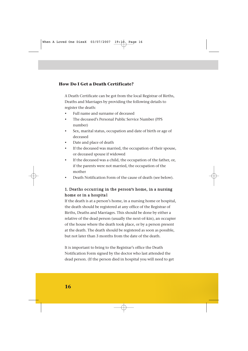#### **How Do I Get a Death Certificate?**

A Death Certificate can be got from the local Registrar of Births, Deaths and Marriages by providing the following details to register the death:

- Full name and surname of deceased
- The deceased's Personal Public Service Number (PPS number)
- Sex, marital status, occupation and date of birth or age of deceased
- Date and place of death
- If the deceased was married, the occupation of their spouse, or deceased spouse if widowed
- If the deceased was a child, the occupation of the father, or, if the parents were not married, the occupation of the mother
- Death Notification Form of the cause of death (see below).

#### 1. Deaths occurring in the person**'**s home, in a nursing home or in a hospita l

If the death is at a person's home, in a nursing home or hospital, the death should be registered at any office of the Registrar of Births, Deaths and Marriages. This should be done by either a relative of the dead person (usually the next-of-kin), an occupier of the house where the death took place, or by a person present at the death. The death should be registered as soon as possible, but not later than 3 months from the date of the death.

It is important to bring to the Registrar's office the Death Notification Form signed by the doctor who last attended the dead person. (If the person died in hospital you will need to get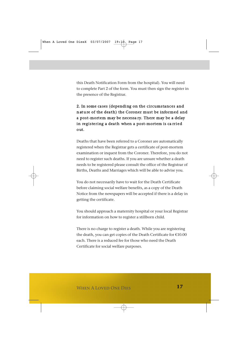this Death Notification Form from the hospital). You will need to complete Part 2 of the form. You must then sign the register in the presence of the Registrar.

#### 2. In some ca ses (depending on the circumstances and nature of the death) the Coroner must be informed and a post-mortem may be necessa ry. There may be a delay in registering a death when a post-mortem is ca rried out.

Deaths that have been referred to a Coroner are automatically registered when the Registrar gets a certificate of post-mortem examination or inquest from the Coroner. Therefore, you do not need to register such deaths. If you are unsure whether a death needs to be registered please consult the office of the Registrar of Births, Deaths and Marriages which will be able to advise you.

You do not necessarily have to wait for the Death Certificate before claiming social welfare benefits, as a copy of the Death Notice from the newspapers will be accepted if there is a delay in getting the certificate.

You should approach a maternity hospital or your local Registrar for information on how to register a stillborn child.

There is no charge to register a death. While you are registering the death, you can get copies of the Death Certificate for €10.00 each. There is a reduced fee for those who need the Death Certificate for social welfare purposes.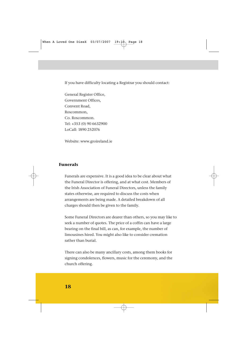If you have difficulty locating a Registrar you should contact:

General Register Office, Government Offices, Convent Road, Roscommon, Co. Roscommon. Tel: +353 (0) 90 6632900 LoCall: 1890 252076

Website: www.groireland.ie

#### **Funerals**

Funerals are expensive. It is a good idea to be clear about what the Funeral Director is offering, and at what cost. Members of the Irish Association of Funeral Directors, unless the family states otherwise, are required to discuss the costs when arrangements are being made. A detailed breakdown of all charges should then be given to the family.

Some Funeral Directors are dearer than others, so you may like to seek a number of quotes. The price of a coffin can have a large bearing on the final bill, as can, for example, the number of limousines hired. You might also like to consider cremation rather than burial.

There can also be many ancillary costs, among them books for signing condolences, flowers, music for the ceremony, and the church offering.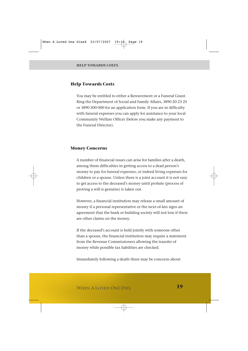#### **Help Towards Costs**

You may be entitled to either a Bereavement or a Funeral Grant. Ring the Department of Social and Family Affairs, 1890 20 23 25 or 1890 500 000 for an application form. If you are in difficulty with funeral expenses you can apply for assistance to your local Community Welfare Officer (before you make any payment to the Funeral Director).

#### **Money Concerns**

A number of financial issues can arise for families after a death, among them difficulties in getting access to a dead person's money to pay for funeral expenses, or indeed living expenses for children or a spouse. Unless there is a joint account it is not easy to get access to the deceased's money until probate (process of proving a will is genuine) is taken out.

However, a financial institution may release a small amount of money if a personal representative or the next-of-kin signs an agreement that the bank or building society will not lose if there are other claims on the money.

If the deceased's account is held jointly with someone other than a spouse, the financial institution may require a statement from the Revenue Commissioners allowing the transfer of money while possible tax liabilities are checked.

Immediately following a death there may be concerns about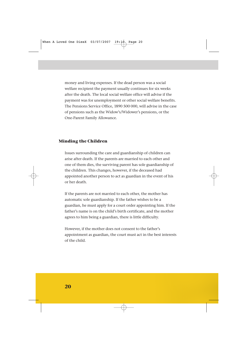money and living expenses. If the dead person was a social welfare recipient the payment usually continues for six weeks after the death. The local social welfare office will advise if the payment was for unemployment or other social welfare benefits. The Pensions Service Office, 1890 500 000, will advise in the case of pensions such as the Widow's/Widower's pensions, or the One-Parent Family Allowance.

#### **Minding the Children**

Issues surrounding the care and guardianship of children can arise after death. If the parents are married to each other and one of them dies, the surviving parent has sole guardianship of the children. This changes, however, if the deceased had appointed another person to act as guardian in the event of his or her death.

If the parents are not married to each other, the mother has automatic sole guardianship. If the father wishes to be a guardian, he must apply for a court order appointing him. If the father's name is on the child's birth certificate, and the mother agrees to him being a guardian, there is little difficulty.

However, if the mother does not consent to the father's appointment as guardian, the court must act in the best interests of the child.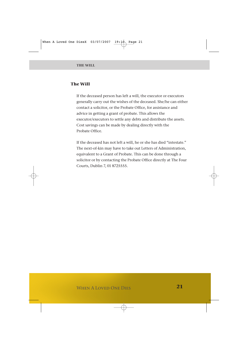#### **The Will**

If the deceased person has left a will, the executor or executors generally carry out the wishes of the deceased. She/he can either contact a solicitor, or the Probate Office, for assistance and advice in getting a grant of probate. This allows the executor/executors to settle any debts and distribute the assets. Cost savings can be made by dealing directly with the Probate Office.

If the deceased has not left a will, he or she has died "intestate." The next-of-kin may have to take out Letters of Administration, equivalent to a Grant of Probate. This can be done through a solicitor or by contacting the Probate Office directly at The Four Courts, Dublin 7, 01 8725555.